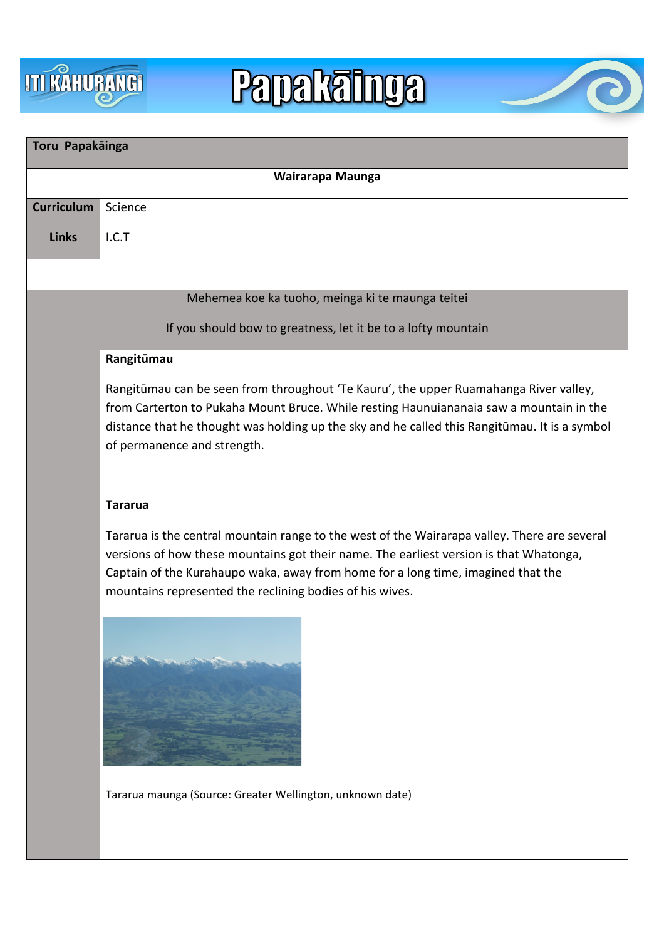

# **Papakainga**



| Toru Papakāinga                                               |                                                                                                                                                                                                                                                                                                                                        |
|---------------------------------------------------------------|----------------------------------------------------------------------------------------------------------------------------------------------------------------------------------------------------------------------------------------------------------------------------------------------------------------------------------------|
| Wairarapa Maunga                                              |                                                                                                                                                                                                                                                                                                                                        |
| <b>Curriculum</b>                                             | Science                                                                                                                                                                                                                                                                                                                                |
| <b>Links</b>                                                  | I.C.T                                                                                                                                                                                                                                                                                                                                  |
|                                                               |                                                                                                                                                                                                                                                                                                                                        |
| Mehemea koe ka tuoho, meinga ki te maunga teitei              |                                                                                                                                                                                                                                                                                                                                        |
| If you should bow to greatness, let it be to a lofty mountain |                                                                                                                                                                                                                                                                                                                                        |
|                                                               | Rangitūmau                                                                                                                                                                                                                                                                                                                             |
|                                                               | Rangitūmau can be seen from throughout 'Te Kauru', the upper Ruamahanga River valley,<br>from Carterton to Pukaha Mount Bruce. While resting Haunuiananaia saw a mountain in the<br>distance that he thought was holding up the sky and he called this Rangitūmau. It is a symbol<br>of permanence and strength.                       |
|                                                               | <b>Tararua</b>                                                                                                                                                                                                                                                                                                                         |
|                                                               | Tararua is the central mountain range to the west of the Wairarapa valley. There are several<br>versions of how these mountains got their name. The earliest version is that Whatonga,<br>Captain of the Kurahaupo waka, away from home for a long time, imagined that the<br>mountains represented the reclining bodies of his wives. |
|                                                               |                                                                                                                                                                                                                                                                                                                                        |
|                                                               | Tararua maunga (Source: Greater Wellington, unknown date)                                                                                                                                                                                                                                                                              |